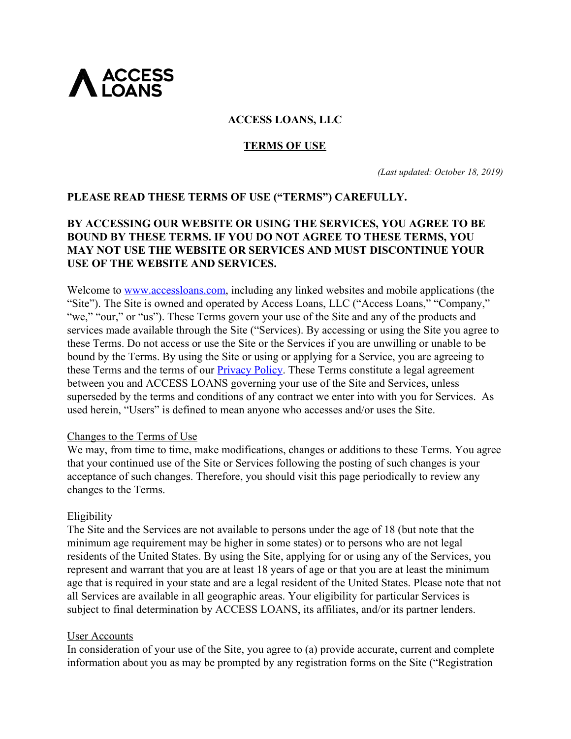

# **ACCESS LOANS, LLC**

### **TERMS OF USE**

*(Last updated: October 18, 2019)*

## **PLEASE READ THESE TERMS OF USE ("TERMS") CAREFULLY.**

# **BY ACCESSING OUR WEBSITE OR USING THE SERVICES, YOU AGREE TO BE BOUND BY THESE TERMS. IF YOU DO NOT AGREE TO THESE TERMS, YOU MAY NOT USE THE WEBSITE OR SERVICES AND MUST DISCONTINUE YOUR USE OF THE WEBSITE AND SERVICES.**

Welcome to [www.accessloans.com,](http://www.accessloans.com/) including any linked websites and mobile applications (the "Site"). The Site is owned and operated by Access Loans, LLC ("Access Loans," "Company," "we," "our," or "us"). These Terms govern your use of the Site and any of the products and services made available through the Site ("Services). By accessing or using the Site you agree to these Terms. Do not access or use the Site or the Services if you are unwilling or unable to be bound by the Terms. By using the Site or using or applying for a Service, you are agreeing to these Terms and the terms of our [Privacy Policy](https://backend.accessloans.com/application/agreement_document?agreement=privacy_notice). These Terms constitute a legal agreement between you and ACCESS LOANS governing your use of the Site and Services, unless superseded by the terms and conditions of any contract we enter into with you for Services. As used herein, "Users" is defined to mean anyone who accesses and/or uses the Site.

#### Changes to the Terms of Use

We may, from time to time, make modifications, changes or additions to these Terms. You agree that your continued use of the Site or Services following the posting of such changes is your acceptance of such changes. Therefore, you should visit this page periodically to review any changes to the Terms.

#### Eligibility

The Site and the Services are not available to persons under the age of 18 (but note that the minimum age requirement may be higher in some states) or to persons who are not legal residents of the United States. By using the Site, applying for or using any of the Services, you represent and warrant that you are at least 18 years of age or that you are at least the minimum age that is required in your state and are a legal resident of the United States. Please note that not all Services are available in all geographic areas. Your eligibility for particular Services is subject to final determination by ACCESS LOANS, its affiliates, and/or its partner lenders.

#### User Accounts

In consideration of your use of the Site, you agree to (a) provide accurate, current and complete information about you as may be prompted by any registration forms on the Site ("Registration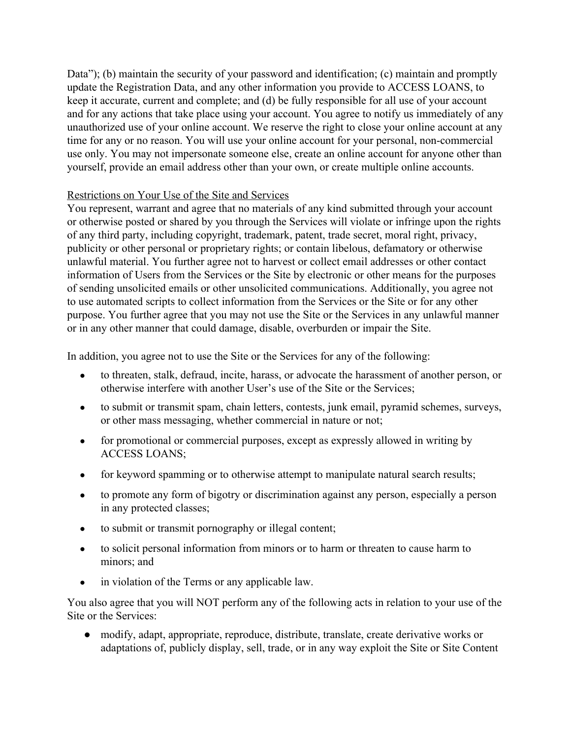Data"); (b) maintain the security of your password and identification; (c) maintain and promptly update the Registration Data, and any other information you provide to ACCESS LOANS, to keep it accurate, current and complete; and (d) be fully responsible for all use of your account and for any actions that take place using your account. You agree to notify us immediately of any unauthorized use of your online account. We reserve the right to close your online account at any time for any or no reason. You will use your online account for your personal, non-commercial use only. You may not impersonate someone else, create an online account for anyone other than yourself, provide an email address other than your own, or create multiple online accounts.

# Restrictions on Your Use of the Site and Services

You represent, warrant and agree that no materials of any kind submitted through your account or otherwise posted or shared by you through the Services will violate or infringe upon the rights of any third party, including copyright, trademark, patent, trade secret, moral right, privacy, publicity or other personal or proprietary rights; or contain libelous, defamatory or otherwise unlawful material. You further agree not to harvest or collect email addresses or other contact information of Users from the Services or the Site by electronic or other means for the purposes of sending unsolicited emails or other unsolicited communications. Additionally, you agree not to use automated scripts to collect information from the Services or the Site or for any other purpose. You further agree that you may not use the Site or the Services in any unlawful manner or in any other manner that could damage, disable, overburden or impair the Site.

In addition, you agree not to use the Site or the Services for any of the following:

- to threaten, stalk, defraud, incite, harass, or advocate the harassment of another person, or otherwise interfere with another User's use of the Site or the Services;
- to submit or transmit spam, chain letters, contests, junk email, pyramid schemes, surveys, or other mass messaging, whether commercial in nature or not;
- for promotional or commercial purposes, except as expressly allowed in writing by ACCESS LOANS;
- for keyword spamming or to otherwise attempt to manipulate natural search results;
- to promote any form of bigotry or discrimination against any person, especially a person in any protected classes;
- to submit or transmit pornography or illegal content;
- to solicit personal information from minors or to harm or threaten to cause harm to minors; and
- in violation of the Terms or any applicable law.

You also agree that you will NOT perform any of the following acts in relation to your use of the Site or the Services:

● modify, adapt, appropriate, reproduce, distribute, translate, create derivative works or adaptations of, publicly display, sell, trade, or in any way exploit the Site or Site Content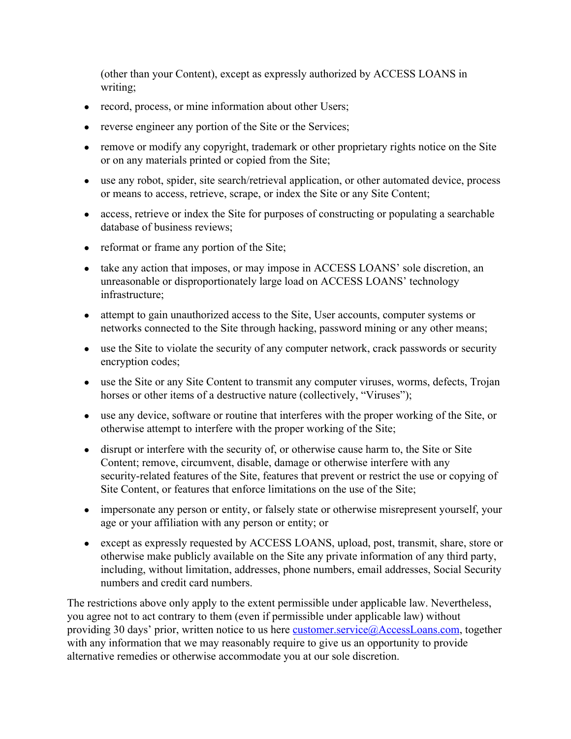(other than your Content), except as expressly authorized by ACCESS LOANS in writing;

- record, process, or mine information about other Users;
- reverse engineer any portion of the Site or the Services;
- remove or modify any copyright, trademark or other proprietary rights notice on the Site or on any materials printed or copied from the Site;
- use any robot, spider, site search/retrieval application, or other automated device, process or means to access, retrieve, scrape, or index the Site or any Site Content;
- access, retrieve or index the Site for purposes of constructing or populating a searchable database of business reviews;
- reformat or frame any portion of the Site;
- take any action that imposes, or may impose in ACCESS LOANS' sole discretion, an unreasonable or disproportionately large load on ACCESS LOANS' technology infrastructure;
- attempt to gain unauthorized access to the Site, User accounts, computer systems or networks connected to the Site through hacking, password mining or any other means;
- use the Site to violate the security of any computer network, crack passwords or security encryption codes;
- use the Site or any Site Content to transmit any computer viruses, worms, defects, Trojan horses or other items of a destructive nature (collectively, "Viruses");
- use any device, software or routine that interferes with the proper working of the Site, or otherwise attempt to interfere with the proper working of the Site;
- disrupt or interfere with the security of, or otherwise cause harm to, the Site or Site Content; remove, circumvent, disable, damage or otherwise interfere with any security-related features of the Site, features that prevent or restrict the use or copying of Site Content, or features that enforce limitations on the use of the Site;
- impersonate any person or entity, or falsely state or otherwise misrepresent yourself, your age or your affiliation with any person or entity; or
- except as expressly requested by ACCESS LOANS, upload, post, transmit, share, store or otherwise make publicly available on the Site any private information of any third party, including, without limitation, addresses, phone numbers, email addresses, Social Security numbers and credit card numbers.

The restrictions above only apply to the extent permissible under applicable law. Nevertheless, you agree not to act contrary to them (even if permissible under applicable law) without providing 30 days' prior, written notice to us here **customer**.service@AccessLoans.com, together with any information that we may reasonably require to give us an opportunity to provide alternative remedies or otherwise accommodate you at our sole discretion.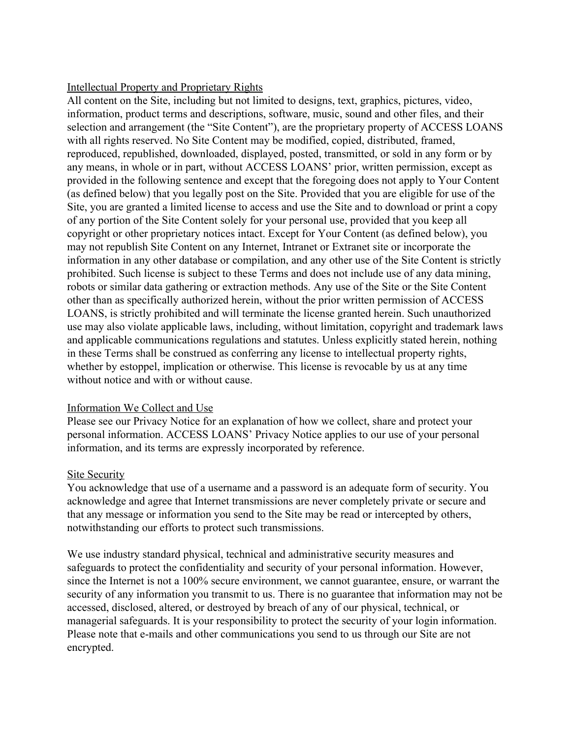#### Intellectual Property and Proprietary Rights

All content on the Site, including but not limited to designs, text, graphics, pictures, video, information, product terms and descriptions, software, music, sound and other files, and their selection and arrangement (the "Site Content"), are the proprietary property of ACCESS LOANS with all rights reserved. No Site Content may be modified, copied, distributed, framed, reproduced, republished, downloaded, displayed, posted, transmitted, or sold in any form or by any means, in whole or in part, without ACCESS LOANS' prior, written permission, except as provided in the following sentence and except that the foregoing does not apply to Your Content (as defined below) that you legally post on the Site. Provided that you are eligible for use of the Site, you are granted a limited license to access and use the Site and to download or print a copy of any portion of the Site Content solely for your personal use, provided that you keep all copyright or other proprietary notices intact. Except for Your Content (as defined below), you may not republish Site Content on any Internet, Intranet or Extranet site or incorporate the information in any other database or compilation, and any other use of the Site Content is strictly prohibited. Such license is subject to these Terms and does not include use of any data mining, robots or similar data gathering or extraction methods. Any use of the Site or the Site Content other than as specifically authorized herein, without the prior written permission of ACCESS LOANS, is strictly prohibited and will terminate the license granted herein. Such unauthorized use may also violate applicable laws, including, without limitation, copyright and trademark laws and applicable communications regulations and statutes. Unless explicitly stated herein, nothing in these Terms shall be construed as conferring any license to intellectual property rights, whether by estoppel, implication or otherwise. This license is revocable by us at any time without notice and with or without cause.

#### Information We Collect and Use

Please see our Privacy Notice for an explanation of how we collect, share and protect your personal information. ACCESS LOANS' Privacy Notice applies to our use of your personal information, and its terms are expressly incorporated by reference.

#### Site Security

You acknowledge that use of a username and a password is an adequate form of security. You acknowledge and agree that Internet transmissions are never completely private or secure and that any message or information you send to the Site may be read or intercepted by others, notwithstanding our efforts to protect such transmissions.

We use industry standard physical, technical and administrative security measures and safeguards to protect the confidentiality and security of your personal information. However, since the Internet is not a 100% secure environment, we cannot guarantee, ensure, or warrant the security of any information you transmit to us. There is no guarantee that information may not be accessed, disclosed, altered, or destroyed by breach of any of our physical, technical, or managerial safeguards. It is your responsibility to protect the security of your login information. Please note that e-mails and other communications you send to us through our Site are not encrypted.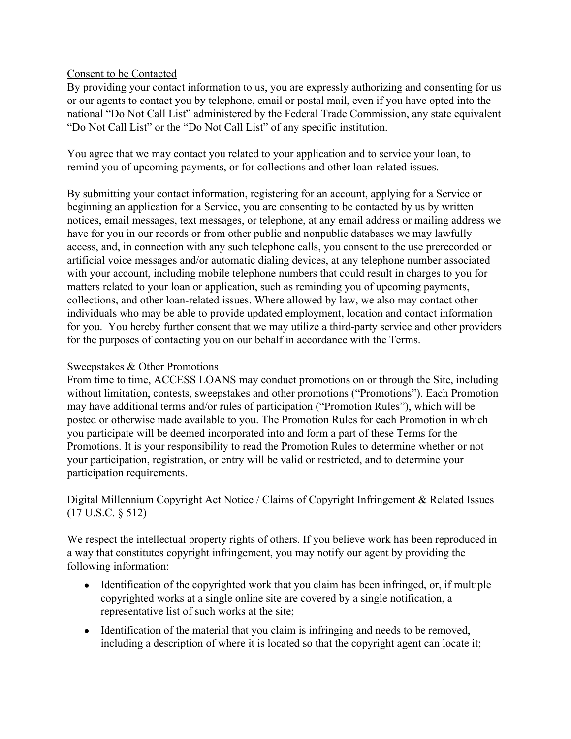### Consent to be Contacted

By providing your contact information to us, you are expressly authorizing and consenting for us or our agents to contact you by telephone, email or postal mail, even if you have opted into the national "Do Not Call List" administered by the Federal Trade Commission, any state equivalent "Do Not Call List" or the "Do Not Call List" of any specific institution.

You agree that we may contact you related to your application and to service your loan, to remind you of upcoming payments, or for collections and other loan-related issues.

By submitting your contact information, registering for an account, applying for a Service or beginning an application for a Service, you are consenting to be contacted by us by written notices, email messages, text messages, or telephone, at any email address or mailing address we have for you in our records or from other public and nonpublic databases we may lawfully access, and, in connection with any such telephone calls, you consent to the use prerecorded or artificial voice messages and/or automatic dialing devices, at any telephone number associated with your account, including mobile telephone numbers that could result in charges to you for matters related to your loan or application, such as reminding you of upcoming payments, collections, and other loan-related issues. Where allowed by law, we also may contact other individuals who may be able to provide updated employment, location and contact information for you. You hereby further consent that we may utilize a third-party service and other providers for the purposes of contacting you on our behalf in accordance with the Terms.

#### Sweepstakes & Other Promotions

From time to time, ACCESS LOANS may conduct promotions on or through the Site, including without limitation, contests, sweepstakes and other promotions ("Promotions"). Each Promotion may have additional terms and/or rules of participation ("Promotion Rules"), which will be posted or otherwise made available to you. The Promotion Rules for each Promotion in which you participate will be deemed incorporated into and form a part of these Terms for the Promotions. It is your responsibility to read the Promotion Rules to determine whether or not your participation, registration, or entry will be valid or restricted, and to determine your participation requirements.

# Digital Millennium Copyright Act Notice / Claims of Copyright Infringement & Related Issues (17 U.S.C. § 512)

We respect the intellectual property rights of others. If you believe work has been reproduced in a way that constitutes copyright infringement, you may notify our agent by providing the following information:

- Identification of the copyrighted work that you claim has been infringed, or, if multiple copyrighted works at a single online site are covered by a single notification, a representative list of such works at the site;
- Identification of the material that you claim is infringing and needs to be removed, including a description of where it is located so that the copyright agent can locate it;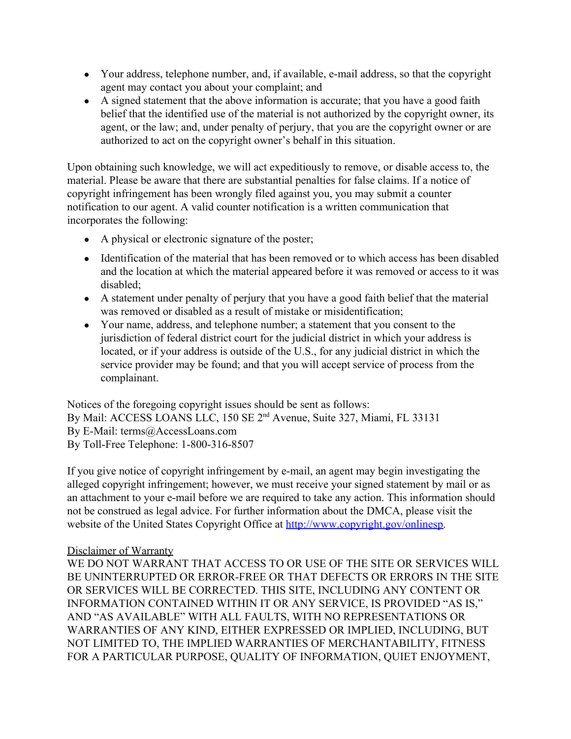- Your address, telephone number, and, if available, e-mail address, so that the copyright agent may contact you about your complaint; and
- A signed statement that the above information is accurate; that you have a good faith belief that the identified use of the material is not authorized by the copyright owner, its agent, or the law; and, under penalty of perjury, that you are the copyright owner or are authorized to act on the copyright owner's behalf in this situation.

Upon obtaining such knowledge, we will act expeditiously to remove, or disable access to, the material. Please be aware that there are substantial penalties for false claims. If a notice of copyright infringement has been wrongly filed against you, you may submit a counter notification to our agent. A valid counter notification is a written communication that incorporates the following:

- A physical or electronic signature of the poster;
- Identification of the material that has been removed or to which access has been disabled and the location at which the material appeared before it was removed or access to it was disabled;
- A statement under penalty of perjury that you have a good faith belief that the material was removed or disabled as a result of mistake or misidentification;
- Your name, address, and telephone number; a statement that you consent to the jurisdiction of federal district court for the judicial district in which your address is located, or if your address is outside of the U.S., for any judicial district in which the service provider may be found; and that you will accept service of process from the complainant.

Notices of the foregoing copyright issues should be sent as follows: By Mail: ACCESS LOANS LLC, 150 SE 2<sup>nd</sup> Avenue, Suite 327, Miami, FL 33131 By E-Mail: terms@AccessLoans.com By Toll-Free Telephone: 1-800-316-8507

If you give notice of copyright infringement by e-mail, an agent may begin investigating the alleged copyright infringement; however, we must receive your signed statement by mail or as an attachment to your e-mail before we are required to take any action. This information should not be construed as legal advice. For further information about the DMCA, please visit the website of the United States Copyright Office at [http://www.copyright.gov/onlinesp.](http://www.copyright.gov/onlinesp)

## Disclaimer of Warranty

WE DO NOT WARRANT THAT ACCESS TO OR USE OF THE SITE OR SERVICES WILL BE UNINTERRUPTED OR ERROR-FREE OR THAT DEFECTS OR ERRORS IN THE SITE OR SERVICES WILL BE CORRECTED. THIS SITE, INCLUDING ANY CONTENT OR INFORMATION CONTAINED WITHIN IT OR ANY SERVICE, IS PROVIDED "AS IS," AND "AS AVAILABLE" WITH ALL FAULTS, WITH NO REPRESENTATIONS OR WARRANTIES OF ANY KIND, EITHER EXPRESSED OR IMPLIED, INCLUDING, BUT NOT LIMITED TO, THE IMPLIED WARRANTIES OF MERCHANTABILITY, FITNESS FOR A PARTICULAR PURPOSE, QUALITY OF INFORMATION, QUIET ENJOYMENT,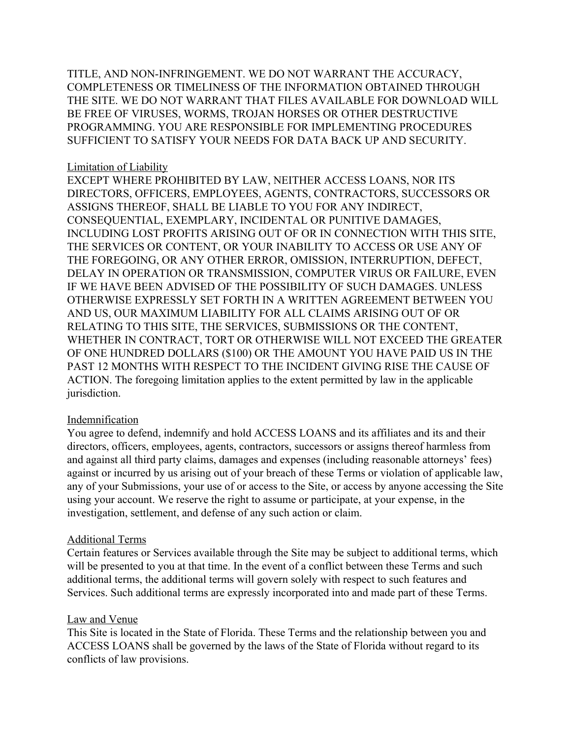TITLE, AND NON-INFRINGEMENT. WE DO NOT WARRANT THE ACCURACY, COMPLETENESS OR TIMELINESS OF THE INFORMATION OBTAINED THROUGH THE SITE. WE DO NOT WARRANT THAT FILES AVAILABLE FOR DOWNLOAD WILL BE FREE OF VIRUSES, WORMS, TROJAN HORSES OR OTHER DESTRUCTIVE PROGRAMMING. YOU ARE RESPONSIBLE FOR IMPLEMENTING PROCEDURES SUFFICIENT TO SATISFY YOUR NEEDS FOR DATA BACK UP AND SECURITY.

### Limitation of Liability

EXCEPT WHERE PROHIBITED BY LAW, NEITHER ACCESS LOANS, NOR ITS DIRECTORS, OFFICERS, EMPLOYEES, AGENTS, CONTRACTORS, SUCCESSORS OR ASSIGNS THEREOF, SHALL BE LIABLE TO YOU FOR ANY INDIRECT, CONSEQUENTIAL, EXEMPLARY, INCIDENTAL OR PUNITIVE DAMAGES, INCLUDING LOST PROFITS ARISING OUT OF OR IN CONNECTION WITH THIS SITE, THE SERVICES OR CONTENT, OR YOUR INABILITY TO ACCESS OR USE ANY OF THE FOREGOING, OR ANY OTHER ERROR, OMISSION, INTERRUPTION, DEFECT, DELAY IN OPERATION OR TRANSMISSION, COMPUTER VIRUS OR FAILURE, EVEN IF WE HAVE BEEN ADVISED OF THE POSSIBILITY OF SUCH DAMAGES. UNLESS OTHERWISE EXPRESSLY SET FORTH IN A WRITTEN AGREEMENT BETWEEN YOU AND US, OUR MAXIMUM LIABILITY FOR ALL CLAIMS ARISING OUT OF OR RELATING TO THIS SITE, THE SERVICES, SUBMISSIONS OR THE CONTENT, WHETHER IN CONTRACT, TORT OR OTHERWISE WILL NOT EXCEED THE GREATER OF ONE HUNDRED DOLLARS (\$100) OR THE AMOUNT YOU HAVE PAID US IN THE PAST 12 MONTHS WITH RESPECT TO THE INCIDENT GIVING RISE THE CAUSE OF ACTION. The foregoing limitation applies to the extent permitted by law in the applicable jurisdiction.

## **Indemnification**

You agree to defend, indemnify and hold ACCESS LOANS and its affiliates and its and their directors, officers, employees, agents, contractors, successors or assigns thereof harmless from and against all third party claims, damages and expenses (including reasonable attorneys' fees) against or incurred by us arising out of your breach of these Terms or violation of applicable law, any of your Submissions, your use of or access to the Site, or access by anyone accessing the Site using your account. We reserve the right to assume or participate, at your expense, in the investigation, settlement, and defense of any such action or claim.

## Additional Terms

Certain features or Services available through the Site may be subject to additional terms, which will be presented to you at that time. In the event of a conflict between these Terms and such additional terms, the additional terms will govern solely with respect to such features and Services. Such additional terms are expressly incorporated into and made part of these Terms.

#### Law and Venue

This Site is located in the State of Florida. These Terms and the relationship between you and ACCESS LOANS shall be governed by the laws of the State of Florida without regard to its conflicts of law provisions.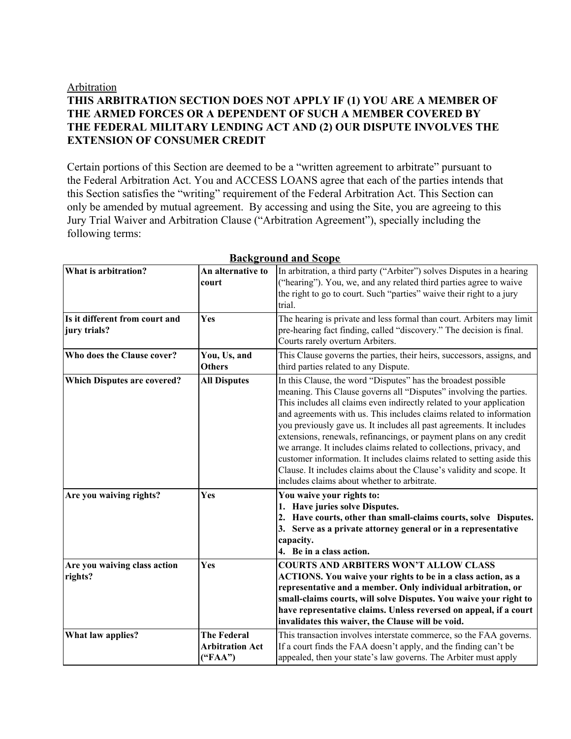#### Arbitration

# **THIS ARBITRATION SECTION DOES NOT APPLY IF (1) YOU ARE A MEMBER OF THE ARMED FORCES OR A DEPENDENT OF SUCH A MEMBER COVERED BY THE FEDERAL MILITARY LENDING ACT AND (2) OUR DISPUTE INVOLVES THE EXTENSION OF CONSUMER CREDIT**

Certain portions of this Section are deemed to be a "written agreement to arbitrate" pursuant to the Federal Arbitration Act. You and ACCESS LOANS agree that each of the parties intends that this Section satisfies the "writing" requirement of the Federal Arbitration Act. This Section can only be amended by mutual agreement. By accessing and using the Site, you are agreeing to this Jury Trial Waiver and Arbitration Clause ("Arbitration Agreement"), specially including the following terms:

| What is arbitration?                           | An alternative to<br>court                              | In arbitration, a third party ("Arbiter") solves Disputes in a hearing<br>("hearing"). You, we, and any related third parties agree to waive<br>the right to go to court. Such "parties" waive their right to a jury<br>trial.                                                                                                                                                                                                                                                                                                                                                                                                                                                                           |
|------------------------------------------------|---------------------------------------------------------|----------------------------------------------------------------------------------------------------------------------------------------------------------------------------------------------------------------------------------------------------------------------------------------------------------------------------------------------------------------------------------------------------------------------------------------------------------------------------------------------------------------------------------------------------------------------------------------------------------------------------------------------------------------------------------------------------------|
| Is it different from court and<br>jury trials? | Yes                                                     | The hearing is private and less formal than court. Arbiters may limit<br>pre-hearing fact finding, called "discovery." The decision is final.<br>Courts rarely overturn Arbiters.                                                                                                                                                                                                                                                                                                                                                                                                                                                                                                                        |
| Who does the Clause cover?                     | You, Us, and<br><b>Others</b>                           | This Clause governs the parties, their heirs, successors, assigns, and<br>third parties related to any Dispute.                                                                                                                                                                                                                                                                                                                                                                                                                                                                                                                                                                                          |
| <b>Which Disputes are covered?</b>             | <b>All Disputes</b>                                     | In this Clause, the word "Disputes" has the broadest possible<br>meaning. This Clause governs all "Disputes" involving the parties.<br>This includes all claims even indirectly related to your application<br>and agreements with us. This includes claims related to information<br>you previously gave us. It includes all past agreements. It includes<br>extensions, renewals, refinancings, or payment plans on any credit<br>we arrange. It includes claims related to collections, privacy, and<br>customer information. It includes claims related to setting aside this<br>Clause. It includes claims about the Clause's validity and scope. It<br>includes claims about whether to arbitrate. |
| Are you waiving rights?                        | Yes                                                     | You waive your rights to:<br>1. Have juries solve Disputes.<br>2. Have courts, other than small-claims courts, solve Disputes.<br>3. Serve as a private attorney general or in a representative<br>capacity.<br>4. Be in a class action.                                                                                                                                                                                                                                                                                                                                                                                                                                                                 |
| Are you waiving class action<br>rights?        | Yes                                                     | <b>COURTS AND ARBITERS WON'T ALLOW CLASS</b><br>ACTIONS. You waive your rights to be in a class action, as a<br>representative and a member. Only individual arbitration, or<br>small-claims courts, will solve Disputes. You waive your right to<br>have representative claims. Unless reversed on appeal, if a court<br>invalidates this waiver, the Clause will be void.                                                                                                                                                                                                                                                                                                                              |
| What law applies?                              | <b>The Federal</b><br><b>Arbitration Act</b><br>("FAA") | This transaction involves interstate commerce, so the FAA governs.<br>If a court finds the FAA doesn't apply, and the finding can't be<br>appealed, then your state's law governs. The Arbiter must apply                                                                                                                                                                                                                                                                                                                                                                                                                                                                                                |

#### **Background and Scope**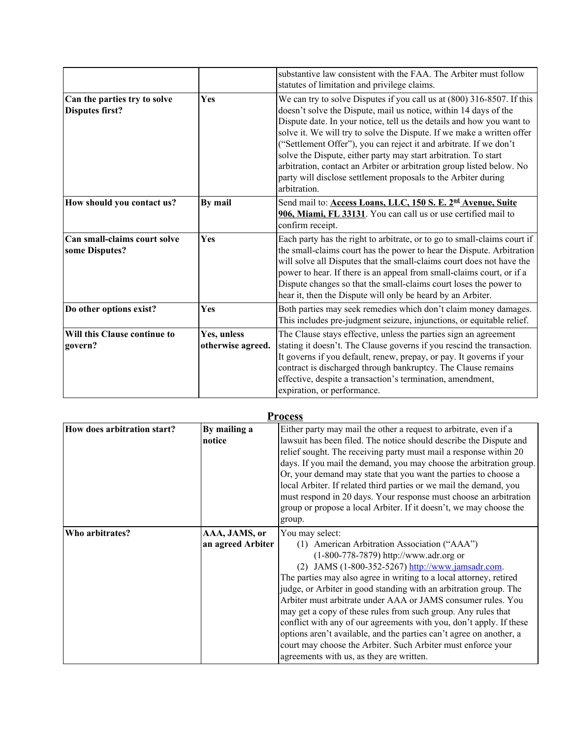|                                                        |                                  | substantive law consistent with the FAA. The Arbiter must follow<br>statutes of limitation and privilege claims.                                                                                                                                                                                                                                                                                                                                                                                                                                                                                  |
|--------------------------------------------------------|----------------------------------|---------------------------------------------------------------------------------------------------------------------------------------------------------------------------------------------------------------------------------------------------------------------------------------------------------------------------------------------------------------------------------------------------------------------------------------------------------------------------------------------------------------------------------------------------------------------------------------------------|
| Can the parties try to solve<br><b>Disputes first?</b> | Yes                              | We can try to solve Disputes if you call us at (800) 316-8507. If this<br>doesn't solve the Dispute, mail us notice, within 14 days of the<br>Dispute date. In your notice, tell us the details and how you want to<br>solve it. We will try to solve the Dispute. If we make a written offer<br>("Settlement Offer"), you can reject it and arbitrate. If we don't<br>solve the Dispute, either party may start arbitration. To start<br>arbitration, contact an Arbiter or arbitration group listed below. No<br>party will disclose settlement proposals to the Arbiter during<br>arbitration. |
| How should you contact us?                             | By mail                          | Send mail to: Access Loans, LLC, 150 S. E. 2 <sup>nd</sup> Avenue, Suite<br>906, Miami, FL 33131. You can call us or use certified mail to<br>confirm receipt.                                                                                                                                                                                                                                                                                                                                                                                                                                    |
| Can small-claims court solve<br>some Disputes?         | Yes                              | Each party has the right to arbitrate, or to go to small-claims court if<br>the small-claims court has the power to hear the Dispute. Arbitration<br>will solve all Disputes that the small-claims court does not have the<br>power to hear. If there is an appeal from small-claims court, or if a<br>Dispute changes so that the small-claims court loses the power to<br>hear it, then the Dispute will only be heard by an Arbiter.                                                                                                                                                           |
| Do other options exist?                                | Yes                              | Both parties may seek remedies which don't claim money damages.<br>This includes pre-judgment seizure, injunctions, or equitable relief.                                                                                                                                                                                                                                                                                                                                                                                                                                                          |
| Will this Clause continue to<br>govern?                | Yes, unless<br>otherwise agreed. | The Clause stays effective, unless the parties sign an agreement<br>stating it doesn't. The Clause governs if you rescind the transaction.<br>It governs if you default, renew, prepay, or pay. It governs if your<br>contract is discharged through bankruptcy. The Clause remains<br>effective, despite a transaction's termination, amendment,<br>expiration, or performance.                                                                                                                                                                                                                  |

| <b>Process</b>              |                                    |                                                                                                                                                                                                                                                                                                                                                                                                                                                                                                                                                                                                                                                                                                        |
|-----------------------------|------------------------------------|--------------------------------------------------------------------------------------------------------------------------------------------------------------------------------------------------------------------------------------------------------------------------------------------------------------------------------------------------------------------------------------------------------------------------------------------------------------------------------------------------------------------------------------------------------------------------------------------------------------------------------------------------------------------------------------------------------|
| How does arbitration start? | By mailing a<br>notice             | Either party may mail the other a request to arbitrate, even if a<br>lawsuit has been filed. The notice should describe the Dispute and<br>relief sought. The receiving party must mail a response within 20<br>days. If you mail the demand, you may choose the arbitration group.<br>Or, your demand may state that you want the parties to choose a<br>local Arbiter. If related third parties or we mail the demand, you<br>must respond in 20 days. Your response must choose an arbitration<br>group or propose a local Arbiter. If it doesn't, we may choose the<br>group.                                                                                                                      |
| Who arbitrates?             | AAA, JAMS, or<br>an agreed Arbiter | You may select:<br>(1) American Arbitration Association ("AAA")<br>$(1-800-778-7879)$ http://www.adr.org or<br>(2) JAMS (1-800-352-5267) http://www.jamsadr.com.<br>The parties may also agree in writing to a local attorney, retired<br>judge, or Arbiter in good standing with an arbitration group. The<br>Arbiter must arbitrate under AAA or JAMS consumer rules. You<br>may get a copy of these rules from such group. Any rules that<br>conflict with any of our agreements with you, don't apply. If these<br>options aren't available, and the parties can't agree on another, a<br>court may choose the Arbiter. Such Arbiter must enforce your<br>agreements with us, as they are written. |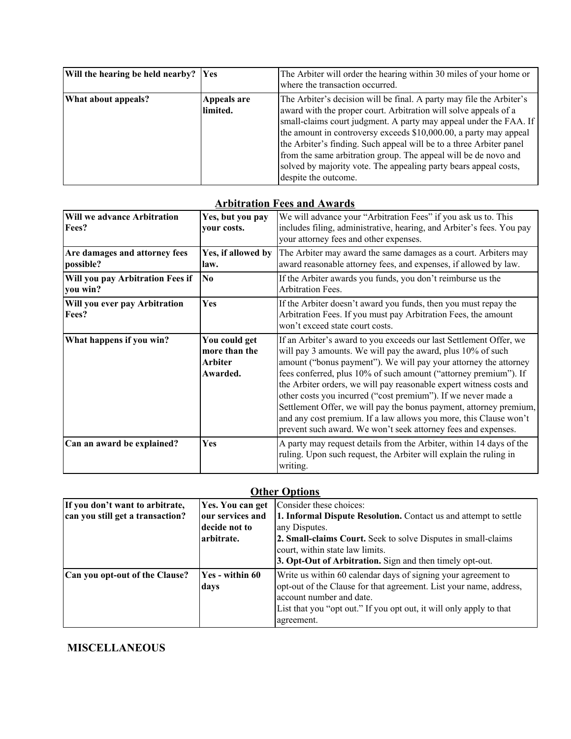| Will the hearing be held nearby? Yes |                         | The Arbiter will order the hearing within 30 miles of your home or<br>where the transaction occurred.                                                                                                                                                                                                                                                                                                                                                                                                                    |
|--------------------------------------|-------------------------|--------------------------------------------------------------------------------------------------------------------------------------------------------------------------------------------------------------------------------------------------------------------------------------------------------------------------------------------------------------------------------------------------------------------------------------------------------------------------------------------------------------------------|
| What about appeals?                  | Appeals are<br>limited. | The Arbiter's decision will be final. A party may file the Arbiter's<br>award with the proper court. Arbitration will solve appeals of a<br>small-claims court judgment. A party may appeal under the FAA. If<br>the amount in controversy exceeds \$10,000.00, a party may appeal<br>the Arbiter's finding. Such appeal will be to a three Arbiter panel<br>from the same arbitration group. The appeal will be de novo and<br>solved by majority vote. The appealing party bears appeal costs,<br>despite the outcome. |

# **Arbitration Fees and Awards**

| <b>Will we advance Arbitration</b><br>Fees?  | Yes, but you pay<br>your costs.                              | We will advance your "Arbitration Fees" if you ask us to. This<br>includes filing, administrative, hearing, and Arbiter's fees. You pay<br>your attorney fees and other expenses.                                                                                                                                                                                                                                                                                                                                                                                                                                             |
|----------------------------------------------|--------------------------------------------------------------|-------------------------------------------------------------------------------------------------------------------------------------------------------------------------------------------------------------------------------------------------------------------------------------------------------------------------------------------------------------------------------------------------------------------------------------------------------------------------------------------------------------------------------------------------------------------------------------------------------------------------------|
| Are damages and attorney fees<br>possible?   | Yes, if allowed by<br>law.                                   | The Arbiter may award the same damages as a court. Arbiters may<br>award reasonable attorney fees, and expenses, if allowed by law.                                                                                                                                                                                                                                                                                                                                                                                                                                                                                           |
| Will you pay Arbitration Fees if<br>you win? | $\overline{\text{No}}$                                       | If the Arbiter awards you funds, you don't reimburse us the<br><b>Arbitration Fees.</b>                                                                                                                                                                                                                                                                                                                                                                                                                                                                                                                                       |
| Will you ever pay Arbitration<br>Fees?       | Yes                                                          | If the Arbiter doesn't award you funds, then you must repay the<br>Arbitration Fees. If you must pay Arbitration Fees, the amount<br>won't exceed state court costs.                                                                                                                                                                                                                                                                                                                                                                                                                                                          |
| What happens if you win?                     | You could get<br>more than the<br><b>Arbiter</b><br>Awarded. | If an Arbiter's award to you exceeds our last Settlement Offer, we<br>will pay 3 amounts. We will pay the award, plus 10% of such<br>amount ("bonus payment"). We will pay your attorney the attorney<br>fees conferred, plus 10% of such amount ("attorney premium"). If<br>the Arbiter orders, we will pay reasonable expert witness costs and<br>other costs you incurred ("cost premium"). If we never made a<br>Settlement Offer, we will pay the bonus payment, attorney premium,<br>and any cost premium. If a law allows you more, this Clause won't<br>prevent such award. We won't seek attorney fees and expenses. |
| Can an award be explained?                   | <b>Yes</b>                                                   | A party may request details from the Arbiter, within 14 days of the<br>ruling. Upon such request, the Arbiter will explain the ruling in<br>writing.                                                                                                                                                                                                                                                                                                                                                                                                                                                                          |

#### **Other Options**

| If you don't want to arbitrate,  | Yes. You can get       | Consider these choices:                                             |
|----------------------------------|------------------------|---------------------------------------------------------------------|
| can you still get a transaction? | our services and       | 1. Informal Dispute Resolution. Contact us and attempt to settle    |
|                                  | decide not to          | any Disputes.                                                       |
|                                  | arbitrate.             | 2. Small-claims Court. Seek to solve Disputes in small-claims       |
|                                  |                        | court, within state law limits.                                     |
|                                  |                        | 3. Opt-Out of Arbitration. Sign and then timely opt-out.            |
| Can you opt-out of the Clause?   | <b>Yes - within 60</b> | Write us within 60 calendar days of signing your agreement to       |
|                                  | days                   | opt-out of the Clause for that agreement. List your name, address,  |
|                                  |                        | account number and date.                                            |
|                                  |                        | List that you "opt out." If you opt out, it will only apply to that |
|                                  |                        | agreement.                                                          |

# **MISCELLANEOUS**